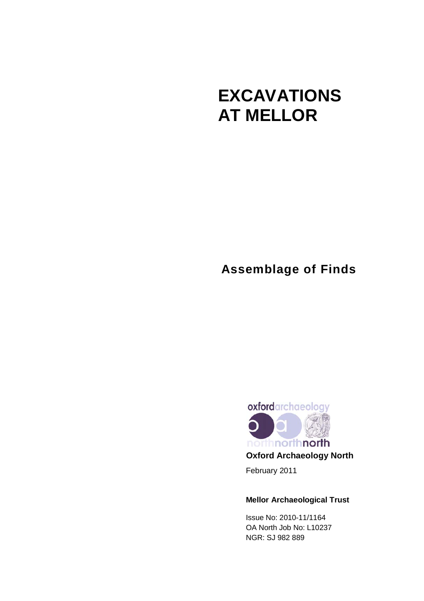# **EXCAVATIONS AT MELLOR**

## **Assemblage of Finds**



#### **Mellor Archaeological Trust**

Issue No: 2010-11/1164 OA North Job No: L10237 NGR: SJ 982 889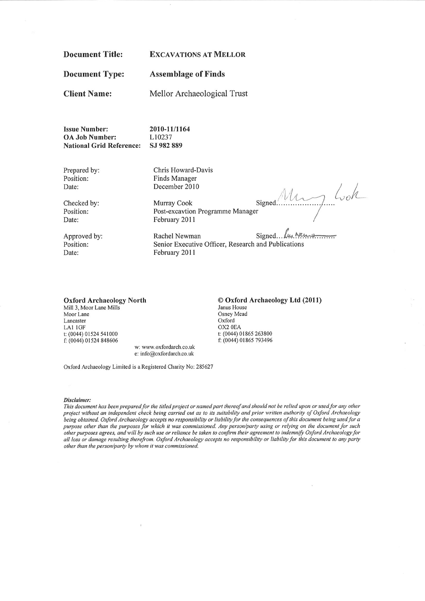| <b>Document Title:</b> |  |  |
|------------------------|--|--|
|                        |  |  |

#### **EXCAVATIONS AT MELLOR**

**Document Type: Assemblage of Finds** 

**Client Name:** 

Mellor Archaeological Trust

**Issue Number:** 2010-11/1164 **OA Job Number:** L10237 **National Grid Reference:** SJ 982 889

Prepared by: Position: Date:

Chris Howard-Davis Finds Manager December 2010

Checked by: Position: Date:

Murray Cook Signed... Post-excavtion Programme Manager February 2011

Approved by: Position: Date:

Signed Lu Neus Rachel Newman Senior Executive Officer, Research and Publications February 2011

#### **Oxford Archaeology North**

Mill 3, Moor Lane Mills Moor Lane Lancaster LA1 1GF t: (0044) 01524 541000 f: (0044) 01524 848606

© Oxford Archaeology Ltd (2011) Janus House Osney Mead Oxford OX2 0EA t: (0044) 01865 263800 f: (0044) 01865 793496

My Lok

w: www.oxfordarch.co.uk e: info@oxfordarch.co.uk

Oxford Archaeology Limited is a Registered Charity No: 285627

#### Disclaimer:

This document has been prepared for the titled project or named part thereof and should not be relied upon or used for any other project without an independent check being carried out as to its suitability and prior written authority of Oxford Archaeology being obtained. Oxford Archaeology accepts no responsibility or liability for the consequences of this document being used for a purpose other than the purposes for which it was commissioned. Any person/party using or relying on the document for such other purposes agrees, and will by such use or reliance be taken to confirm their agreement to indemnify Oxford Archaeology for all loss or damage resulting therefrom. Oxford Archaeology accepts no responsibility or liability for this document to any party other than the person/party by whom it was commissioned.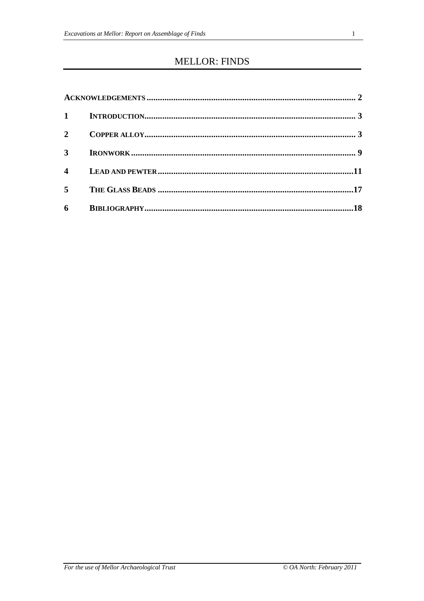## **MELLOR: FINDS**

| $\mathbf{1}$          |  |
|-----------------------|--|
| $\overline{2}$        |  |
| 3                     |  |
| $\boldsymbol{\Delta}$ |  |
| 5                     |  |
| 6                     |  |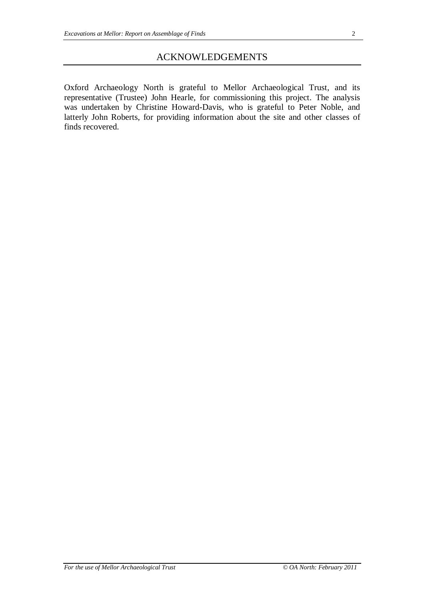Oxford Archaeology North is grateful to Mellor Archaeological Trust, and its representative (Trustee) John Hearle, for commissioning this project. The analysis was undertaken by Christine Howard-Davis, who is grateful to Peter Noble, and latterly John Roberts, for providing information about the site and other classes of finds recovered.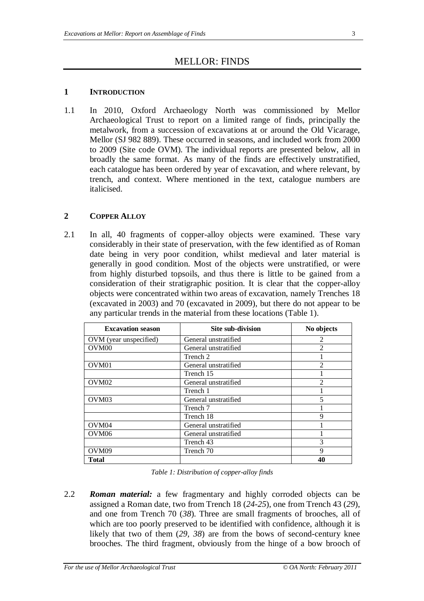## MELLOR: FINDS

#### **1 INTRODUCTION**

1.1 In 2010, Oxford Archaeology North was commissioned by Mellor Archaeological Trust to report on a limited range of finds, principally the metalwork, from a succession of excavations at or around the Old Vicarage, Mellor (SJ 982 889). These occurred in seasons, and included work from 2000 to 2009 (Site code OVM). The individual reports are presented below, all in broadly the same format. As many of the finds are effectively unstratified, each catalogue has been ordered by year of excavation, and where relevant, by trench, and context. Where mentioned in the text, catalogue numbers are italicised.

#### **2 COPPER ALLOY**

2.1 In all, 40 fragments of copper-alloy objects were examined. These vary considerably in their state of preservation, with the few identified as of Roman date being in very poor condition, whilst medieval and later material is generally in good condition. Most of the objects were unstratified, or were from highly disturbed topsoils, and thus there is little to be gained from a consideration of their stratigraphic position. It is clear that the copper-alloy objects were concentrated within two areas of excavation, namely Trenches 18 (excavated in 2003) and 70 (excavated in 2009), but there do not appear to be any particular trends in the material from these locations (Table 1).

| <b>Excavation season</b> | Site sub-division    | No objects     |
|--------------------------|----------------------|----------------|
| OVM (year unspecified)   | General unstratified | $\mathfrak{D}$ |
| OVM <sub>00</sub>        | General unstratified | $\overline{2}$ |
|                          | Trench 2             |                |
| OVM01                    | General unstratified | $\mathfrak{D}$ |
|                          | Trench 15            |                |
| OVM <sub>02</sub>        | General unstratified | $\mathfrak{D}$ |
|                          | Trench 1             |                |
| OVM <sub>03</sub>        | General unstratified | 5              |
|                          | Trench 7             |                |
|                          | Trench 18            | 9              |
| OVM04                    | General unstratified |                |
| OVM <sub>06</sub>        | General unstratified |                |
|                          | Trench 43            | 3              |
| OVM <sub>09</sub>        | Trench 70            | 9              |
| Total                    |                      | 40             |

*Table 1: Distribution of copper-alloy finds*

2.2 *Roman material:* a few fragmentary and highly corroded objects can be assigned a Roman date, two from Trench 18 (*24-25*), one from Trench 43 (*29*), and one from Trench 70 (*38*). Three are small fragments of brooches, all of which are too poorly preserved to be identified with confidence, although it is likely that two of them (*29, 38*) are from the bows of second-century knee brooches. The third fragment, obviously from the hinge of a bow brooch of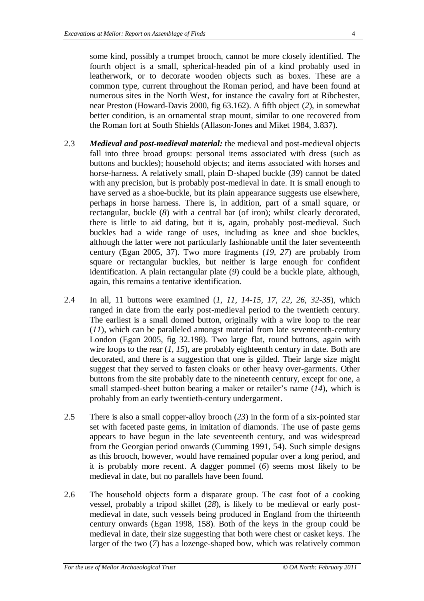some kind, possibly a trumpet brooch, cannot be more closely identified. The fourth object is a small, spherical-headed pin of a kind probably used in leatherwork, or to decorate wooden objects such as boxes. These are a common type, current throughout the Roman period, and have been found at numerous sites in the North West, for instance the cavalry fort at Ribchester, near Preston (Howard-Davis 2000, fig 63.162). A fifth object (*2*), in somewhat better condition, is an ornamental strap mount, similar to one recovered from the Roman fort at South Shields (Allason-Jones and Miket 1984, 3.837).

- 2.3 *Medieval and post-medieval material:* the medieval and post-medieval objects fall into three broad groups: personal items associated with dress (such as buttons and buckles); household objects; and items associated with horses and horse-harness. A relatively small, plain D-shaped buckle (*39*) cannot be dated with any precision, but is probably post-medieval in date. It is small enough to have served as a shoe-buckle, but its plain appearance suggests use elsewhere, perhaps in horse harness. There is, in addition, part of a small square, or rectangular, buckle (*8*) with a central bar (of iron); whilst clearly decorated, there is little to aid dating, but it is, again, probably post-medieval. Such buckles had a wide range of uses, including as knee and shoe buckles, although the latter were not particularly fashionable until the later seventeenth century (Egan 2005, 37). Two more fragments (*19, 27*) are probably from square or rectangular buckles, but neither is large enough for confident identification. A plain rectangular plate (*9*) could be a buckle plate, although, again, this remains a tentative identification.
- 2.4 In all, 11 buttons were examined (*1, 11, 14-15, 17, 22, 26, 32-35*), which ranged in date from the early post-medieval period to the twentieth century. The earliest is a small domed button, originally with a wire loop to the rear (*11*), which can be paralleled amongst material from late seventeenth-century London (Egan 2005, fig 32.198). Two large flat, round buttons, again with wire loops to the rear  $(1, 15)$ , are probably eighteenth century in date. Both are decorated, and there is a suggestion that one is gilded. Their large size might suggest that they served to fasten cloaks or other heavy over-garments. Other buttons from the site probably date to the nineteenth century, except for one, a small stamped-sheet button bearing a maker or retailer's name (*14*), which is probably from an early twentieth-century undergarment.
- 2.5 There is also a small copper-alloy brooch (*23*) in the form of a six-pointed star set with faceted paste gems, in imitation of diamonds. The use of paste gems appears to have begun in the late seventeenth century, and was widespread from the Georgian period onwards (Cumming 1991, 54). Such simple designs as this brooch, however, would have remained popular over a long period, and it is probably more recent. A dagger pommel (*6*) seems most likely to be medieval in date, but no parallels have been found.
- 2.6 The household objects form a disparate group. The cast foot of a cooking vessel, probably a tripod skillet (*28*), is likely to be medieval or early postmedieval in date, such vessels being produced in England from the thirteenth century onwards (Egan 1998, 158). Both of the keys in the group could be medieval in date, their size suggesting that both were chest or casket keys. The larger of the two (*7*) has a lozenge-shaped bow, which was relatively common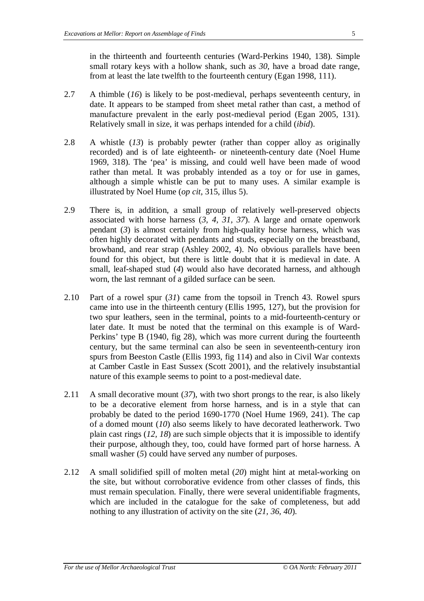in the thirteenth and fourteenth centuries (Ward-Perkins 1940, 138). Simple small rotary keys with a hollow shank, such as *30*, have a broad date range, from at least the late twelfth to the fourteenth century (Egan 1998, 111).

- 2.7 A thimble (*16*) is likely to be post-medieval, perhaps seventeenth century, in date. It appears to be stamped from sheet metal rather than cast, a method of manufacture prevalent in the early post-medieval period (Egan 2005, 131). Relatively small in size, it was perhaps intended for a child (*ibid*).
- 2.8 A whistle (*13*) is probably pewter (rather than copper alloy as originally recorded) and is of late eighteenth- or nineteenth-century date (Noel Hume 1969, 318). The 'pea' is missing, and could well have been made of wood rather than metal. It was probably intended as a toy or for use in games, although a simple whistle can be put to many uses. A similar example is illustrated by Noel Hume (*op cit*, 315, illus 5).
- 2.9 There is, in addition, a small group of relatively well-preserved objects associated with horse harness (*3, 4, 31, 37*). A large and ornate openwork pendant (*3*) is almost certainly from high-quality horse harness, which was often highly decorated with pendants and studs, especially on the breastband, browband, and rear strap (Ashley 2002, 4). No obvious parallels have been found for this object, but there is little doubt that it is medieval in date. A small, leaf-shaped stud (*4*) would also have decorated harness, and although worn, the last remnant of a gilded surface can be seen.
- 2.10 Part of a rowel spur (*31*) came from the topsoil in Trench 43. Rowel spurs came into use in the thirteenth century (Ellis 1995, 127), but the provision for two spur leathers, seen in the terminal, points to a mid-fourteenth-century or later date. It must be noted that the terminal on this example is of Ward-Perkins' type B (1940, fig 28), which was more current during the fourteenth century, but the same terminal can also be seen in seventeenth-century iron spurs from Beeston Castle (Ellis 1993, fig 114) and also in Civil War contexts at Camber Castle in East Sussex (Scott 2001), and the relatively insubstantial nature of this example seems to point to a post-medieval date.
- 2.11 A small decorative mount (*37*), with two short prongs to the rear, is also likely to be a decorative element from horse harness, and is in a style that can probably be dated to the period 1690-1770 (Noel Hume 1969, 241). The cap of a domed mount (*10*) also seems likely to have decorated leatherwork. Two plain cast rings (*12, 18*) are such simple objects that it is impossible to identify their purpose, although they, too, could have formed part of horse harness. A small washer (5) could have served any number of purposes.
- 2.12 A small solidified spill of molten metal (*20*) might hint at metal-working on the site, but without corroborative evidence from other classes of finds, this must remain speculation. Finally, there were several unidentifiable fragments, which are included in the catalogue for the sake of completeness, but add nothing to any illustration of activity on the site (*21, 36, 40*).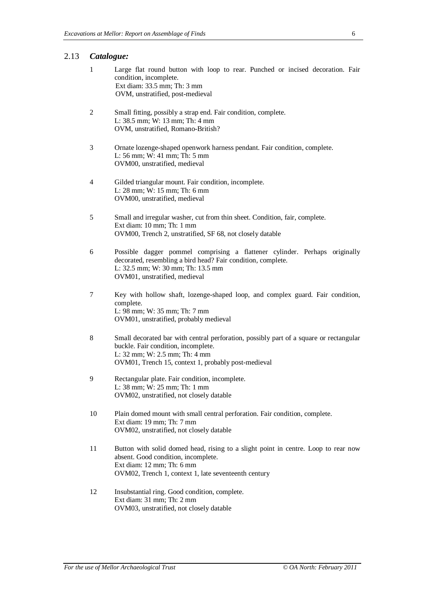#### 2.13 *Catalogue:*

| 1  | Large flat round button with loop to rear. Punched or incised decoration. Fair<br>condition, incomplete.<br>Ext diam: 33.5 mm; Th: 3 mm<br>OVM, unstratified, post-medieval                                           |
|----|-----------------------------------------------------------------------------------------------------------------------------------------------------------------------------------------------------------------------|
| 2  | Small fitting, possibly a strap end. Fair condition, complete.<br>L: 38.5 mm; W: 13 mm; Th: 4 mm<br>OVM, unstratified, Romano-British?                                                                                |
| 3  | Ornate lozenge-shaped openwork harness pendant. Fair condition, complete.<br>L: 56 mm; W: 41 mm; Th: 5 mm<br>OVM00, unstratified, medieval                                                                            |
| 4  | Gilded triangular mount. Fair condition, incomplete.<br>L: 28 mm; W: 15 mm; Th: 6 mm<br>OVM00, unstratified, medieval                                                                                                 |
| 5  | Small and irregular washer, cut from thin sheet. Condition, fair, complete.<br>Ext diam: 10 mm; Th: 1 mm<br>OVM00, Trench 2, unstratified, SF 68, not closely datable                                                 |
| 6  | Possible dagger pommel comprising a flattener cylinder. Perhaps originally<br>decorated, resembling a bird head? Fair condition, complete.<br>L: 32.5 mm; W: 30 mm; Th: 13.5 mm<br>OVM01, unstratified, medieval      |
| 7  | Key with hollow shaft, lozenge-shaped loop, and complex guard. Fair condition,<br>complete.<br>L: 98 mm; W: 35 mm; Th: 7 mm<br>OVM01, unstratified, probably medieval                                                 |
| 8  | Small decorated bar with central perforation, possibly part of a square or rectangular<br>buckle. Fair condition, incomplete.<br>L: 32 mm; W: 2.5 mm; Th: 4 mm<br>OVM01, Trench 15, context 1, probably post-medieval |
| 9  | Rectangular plate. Fair condition, incomplete.<br>L: 38 mm; W: 25 mm; Th: 1 mm<br>OVM02, unstratified, not closely datable                                                                                            |
| 10 | Plain domed mount with small central perforation. Fair condition, complete.<br>Ext diam: 19 mm; Th: 7 mm<br>OVM02, unstratified, not closely datable                                                                  |
| 11 | Button with solid domed head, rising to a slight point in centre. Loop to rear now<br>absent. Good condition, incomplete.<br>Ext diam: 12 mm; Th: 6 mm<br>OVM02, Trench 1, context 1, late seventeenth century        |
| 12 | Insubstantial ring. Good condition, complete.<br>Ext diam: 31 mm; Th: 2 mm<br>OVM03, unstratified, not closely datable                                                                                                |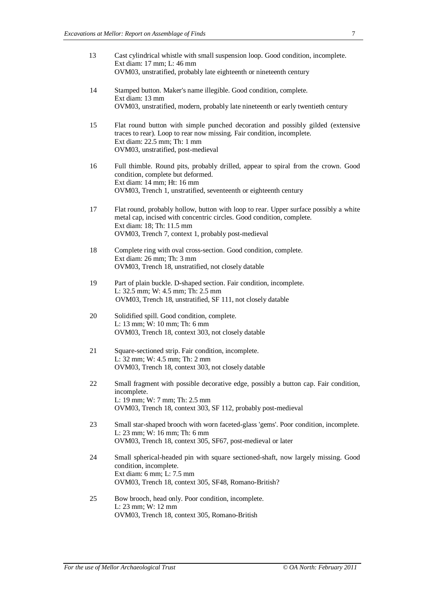| 13 | Cast cylindrical whistle with small suspension loop. Good condition, incomplete.<br>Ext diam: 17 mm; L: 46 mm<br>OVM03, unstratified, probably late eighteenth or nineteenth century                                                              |
|----|---------------------------------------------------------------------------------------------------------------------------------------------------------------------------------------------------------------------------------------------------|
| 14 | Stamped button. Maker's name illegible. Good condition, complete.<br>Ext diam: 13 mm<br>OVM03, unstratified, modern, probably late nineteenth or early twentieth century                                                                          |
| 15 | Flat round button with simple punched decoration and possibly gilded (extensive<br>traces to rear). Loop to rear now missing. Fair condition, incomplete.<br>Ext diam: 22.5 mm; Th: 1 mm<br>OVM03, unstratified, post-medieval                    |
| 16 | Full thimble. Round pits, probably drilled, appear to spiral from the crown. Good<br>condition, complete but deformed.<br>Ext diam: 14 mm; Ht: 16 mm<br>OVM03, Trench 1, unstratified, seventeenth or eighteenth century                          |
| 17 | Flat round, probably hollow, button with loop to rear. Upper surface possibly a white<br>metal cap, incised with concentric circles. Good condition, complete.<br>Ext diam: 18; Th: 11.5 mm<br>OVM03, Trench 7, context 1, probably post-medieval |
| 18 | Complete ring with oval cross-section. Good condition, complete.<br>Ext diam: 26 mm; Th: 3 mm<br>OVM03, Trench 18, unstratified, not closely datable                                                                                              |
| 19 | Part of plain buckle. D-shaped section. Fair condition, incomplete.<br>L: 32.5 mm; W: 4.5 mm; Th: 2.5 mm<br>OVM03, Trench 18, unstratified, SF 111, not closely datable                                                                           |
| 20 | Solidified spill. Good condition, complete.<br>L: 13 mm; W: 10 mm; Th: 6 mm<br>OVM03, Trench 18, context 303, not closely datable                                                                                                                 |
| 21 | Square-sectioned strip. Fair condition, incomplete.<br>L: 32 mm; W: 4.5 mm; Th: 2 mm<br>OVM03, Trench 18, context 303, not closely datable                                                                                                        |
| 22 | Small fragment with possible decorative edge, possibly a button cap. Fair condition,<br>incomplete.<br>L: 19 mm; W: 7 mm; Th: 2.5 mm<br>OVM03, Trench 18, context 303, SF 112, probably post-medieval                                             |
| 23 | Small star-shaped brooch with worn faceted-glass 'gems'. Poor condition, incomplete.<br>L: 23 mm; W: 16 mm; Th: 6 mm<br>OVM03, Trench 18, context 305, SF67, post-medieval or later                                                               |
| 24 | Small spherical-headed pin with square sectioned-shaft, now largely missing. Good<br>condition, incomplete.<br>Ext diam: 6 mm; L: 7.5 mm<br>OVM03, Trench 18, context 305, SF48, Romano-British?                                                  |
| 25 | Bow brooch, head only. Poor condition, incomplete.<br>L: 23 mm; W: 12 mm                                                                                                                                                                          |

OVM03, Trench 18, context 305, Romano-British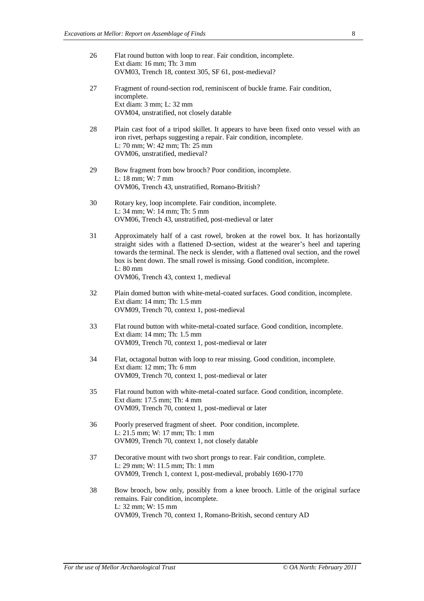| 26 | Flat round button with loop to rear. Fair condition, incomplete.<br>Ext diam: 16 mm; Th: 3 mm<br>OVM03, Trench 18, context 305, SF 61, post-medieval?                                                                                                                                                                                                                                                |
|----|------------------------------------------------------------------------------------------------------------------------------------------------------------------------------------------------------------------------------------------------------------------------------------------------------------------------------------------------------------------------------------------------------|
| 27 | Fragment of round-section rod, reminiscent of buckle frame. Fair condition,<br>incomplete.<br>Ext diam: 3 mm; L: 32 mm<br>OVM04, unstratified, not closely datable                                                                                                                                                                                                                                   |
| 28 | Plain cast foot of a tripod skillet. It appears to have been fixed onto vessel with an<br>iron rivet, perhaps suggesting a repair. Fair condition, incomplete.<br>L: 70 mm; W: 42 mm; Th: 25 mm<br>OVM06, unstratified, medieval?                                                                                                                                                                    |
| 29 | Bow fragment from bow brooch? Poor condition, incomplete.<br>L: 18 mm; W: 7 mm<br>OVM06, Trench 43, unstratified, Romano-British?                                                                                                                                                                                                                                                                    |
| 30 | Rotary key, loop incomplete. Fair condition, incomplete.<br>L: 34 mm; W: 14 mm; Th: 5 mm<br>OVM06, Trench 43, unstratified, post-medieval or later                                                                                                                                                                                                                                                   |
| 31 | Approximately half of a cast rowel, broken at the rowel box. It has horizontally<br>straight sides with a flattened D-section, widest at the wearer's heel and tapering<br>towards the terminal. The neck is slender, with a flattened oval section, and the rowel<br>box is bent down. The small rowel is missing. Good condition, incomplete.<br>L: 80 mm<br>OVM06, Trench 43, context 1, medieval |
| 32 | Plain domed button with white-metal-coated surfaces. Good condition, incomplete.<br>Ext diam: 14 mm; Th: 1.5 mm<br>OVM09, Trench 70, context 1, post-medieval                                                                                                                                                                                                                                        |
| 33 | Flat round button with white-metal-coated surface. Good condition, incomplete.<br>Ext diam: 14 mm; Th: 1.5 mm<br>OVM09, Trench 70, context 1, post-medieval or later                                                                                                                                                                                                                                 |
| 34 | Flat, octagonal button with loop to rear missing. Good condition, incomplete.<br>Ext diam: 12 mm; Th: 6 mm<br>OVM09, Trench 70, context 1, post-medieval or later                                                                                                                                                                                                                                    |
| 35 | Flat round button with white-metal-coated surface. Good condition, incomplete.<br>Ext diam: 17.5 mm; Th: 4 mm<br>OVM09, Trench 70, context 1, post-medieval or later                                                                                                                                                                                                                                 |
| 36 | Poorly preserved fragment of sheet. Poor condition, incomplete.<br>L: 21.5 mm; W: 17 mm; Th: 1 mm<br>OVM09, Trench 70, context 1, not closely datable                                                                                                                                                                                                                                                |
| 37 | Decorative mount with two short prongs to rear. Fair condition, complete.<br>L: 29 mm; W: 11.5 mm; Th: 1 mm<br>OVM09, Trench 1, context 1, post-medieval, probably 1690-1770                                                                                                                                                                                                                         |
| 38 | Bow brooch, bow only, possibly from a knee brooch. Little of the original surface<br>remains. Fair condition, incomplete.<br>L: 32 mm; W: 15 mm<br>OVM09, Trench 70, context 1, Romano-British, second century AD                                                                                                                                                                                    |
|    |                                                                                                                                                                                                                                                                                                                                                                                                      |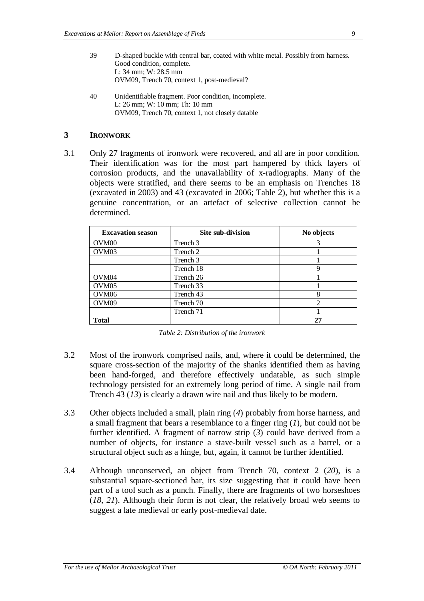- 39 D-shaped buckle with central bar, coated with white metal. Possibly from harness. Good condition, complete. L: 34 mm; W: 28.5 mm OVM09, Trench 70, context 1, post-medieval?
- 40 Unidentifiable fragment. Poor condition, incomplete. L: 26 mm; W: 10 mm; Th: 10 mm OVM09, Trench 70, context 1, not closely datable

#### **3 IRONWORK**

3.1 Only 27 fragments of ironwork were recovered, and all are in poor condition. Their identification was for the most part hampered by thick layers of corrosion products, and the unavailability of x-radiographs. Many of the objects were stratified, and there seems to be an emphasis on Trenches 18 (excavated in 2003) and 43 (excavated in 2006; Table 2), but whether this is a genuine concentration, or an artefact of selective collection cannot be determined.

| <b>Excavation season</b> | <b>Site sub-division</b> | No objects     |
|--------------------------|--------------------------|----------------|
| OVM <sub>00</sub>        | Trench 3                 | 3              |
| OVM <sub>03</sub>        | Trench 2                 |                |
|                          | Trench 3                 |                |
|                          | Trench 18                | 9              |
| OVM <sub>04</sub>        | Trench 26                |                |
| OVM <sub>05</sub>        | Trench 33                |                |
| OVM <sub>06</sub>        | Trench 43                | 8              |
| OVM <sub>09</sub>        | Trench 70                | $\mathfrak{D}$ |
|                          | Trench 71                |                |
| <b>Total</b>             |                          | 27             |

*Table 2: Distribution of the ironwork*

- 3.2 Most of the ironwork comprised nails, and, where it could be determined, the square cross-section of the majority of the shanks identified them as having been hand-forged, and therefore effectively undatable, as such simple technology persisted for an extremely long period of time. A single nail from Trench 43 (*13*) is clearly a drawn wire nail and thus likely to be modern.
- 3.3 Other objects included a small, plain ring (*4*) probably from horse harness, and a small fragment that bears a resemblance to a finger ring (*1*), but could not be further identified. A fragment of narrow strip (*3*) could have derived from a number of objects, for instance a stave-built vessel such as a barrel, or a structural object such as a hinge, but, again, it cannot be further identified.
- 3.4 Although unconserved, an object from Trench 70, context 2 (*20*), is a substantial square-sectioned bar, its size suggesting that it could have been part of a tool such as a punch. Finally, there are fragments of two horseshoes (*18, 21*). Although their form is not clear, the relatively broad web seems to suggest a late medieval or early post-medieval date.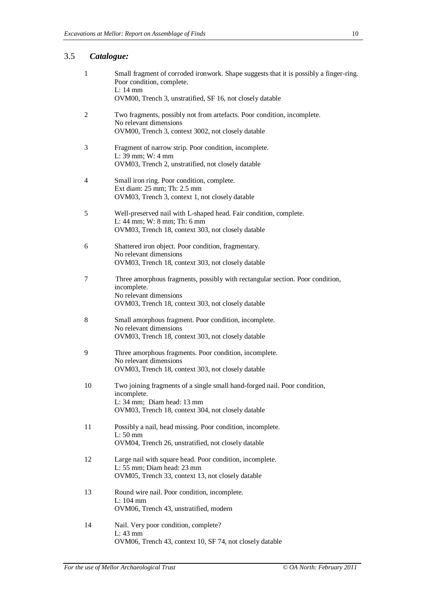### 3.5 *Catalogue:*

| 1  | Small fragment of corroded ironwork. Shape suggests that it is possibly a finger-ring.<br>Poor condition, complete.<br>L: 14 mm                                              |
|----|------------------------------------------------------------------------------------------------------------------------------------------------------------------------------|
|    | OVM00, Trench 3, unstratified, SF 16, not closely datable                                                                                                                    |
| 2  | Two fragments, possibly not from artefacts. Poor condition, incomplete.<br>No relevant dimensions<br>OVM00, Trench 3, context 3002, not closely datable                      |
| 3  | Fragment of narrow strip. Poor condition, incomplete.<br>L: 39 mm; W: 4 mm<br>OVM03, Trench 2, unstratified, not closely datable                                             |
| 4  | Small iron ring. Poor condition, complete.<br>Ext diam: 25 mm; Th: 2.5 mm<br>OVM03, Trench 3, context 1, not closely datable                                                 |
| 5  | Well-preserved nail with L-shaped head. Fair condition, complete.<br>L: 44 mm; W: 8 mm; Th: 6 mm<br>OVM03, Trench 18, context 303, not closely datable                       |
| 6  | Shattered iron object. Poor condition, fragmentary.<br>No relevant dimensions<br>OVM03, Trench 18, context 303, not closely datable                                          |
| 7  | Three amorphous fragments, possibly with rectangular section. Poor condition,<br>incomplete.<br>No relevant dimensions<br>OVM03, Trench 18, context 303, not closely datable |
| 8  | Small amorphous fragment. Poor condition, incomplete.<br>No relevant dimensions<br>OVM03, Trench 18, context 303, not closely datable                                        |
| 9  | Three amorphous fragments. Poor condition, incomplete.<br>No relevant dimensions<br>OVM03, Trench 18, context 303, not closely datable                                       |
| 10 | Two joining fragments of a single small hand-forged nail. Poor condition,<br>incomplete.<br>L: 34 mm; Diam head: 13 mm<br>OVM03, Trench 18, context 304, not closely datable |
| 11 | Possibly a nail, head missing. Poor condition, incomplete.<br>$L: 50$ mm<br>OVM04, Trench 26, unstratified, not closely datable                                              |
| 12 | Large nail with square head. Poor condition, incomplete.<br>L: 55 mm; Diam head: 23 mm<br>OVM05, Trench 33, context 13, not closely datable                                  |
| 13 | Round wire nail. Poor condition, incomplete.<br>L: 104 mm<br>OVM06, Trench 43, unstratified, modern                                                                          |
| 14 | Nail. Very poor condition, complete?<br>L: 43 mm<br>OVM06, Trench 43, context 10, SF 74, not closely datable                                                                 |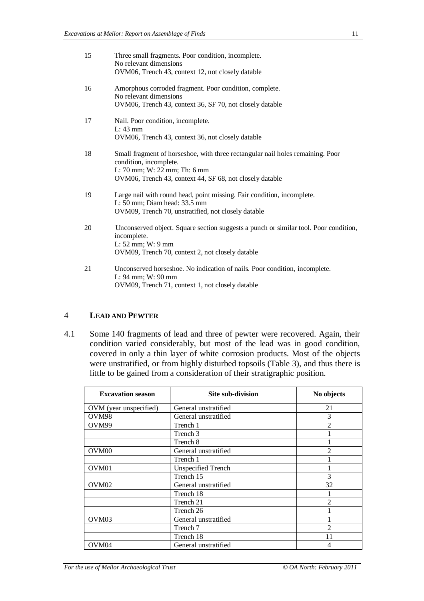| 15 | Three small fragments. Poor condition, incomplete.<br>No relevant dimensions<br>OVM06, Trench 43, context 12, not closely datable |
|----|-----------------------------------------------------------------------------------------------------------------------------------|
|    |                                                                                                                                   |
| 16 | Amorphous corroded fragment. Poor condition, complete.<br>No relevant dimensions                                                  |
|    | OVM06, Trench 43, context 36, SF 70, not closely datable                                                                          |
| 17 | Nail. Poor condition, incomplete.<br>$L: 43$ mm                                                                                   |
|    | OVM06, Trench 43, context 36, not closely datable                                                                                 |
| 18 | Small fragment of horseshoe, with three rectangular nail holes remaining. Poor<br>condition, incomplete.                          |
|    | L: 70 mm; W: 22 mm; Th: 6 mm<br>OVM06, Trench 43, context 44, SF 68, not closely datable                                          |
| 19 | Large nail with round head, point missing. Fair condition, incomplete.<br>L: 50 mm; Diam head: 33.5 mm                            |
|    | OVM09, Trench 70, unstratified, not closely datable                                                                               |
| 20 | Unconserved object. Square section suggests a punch or similar tool. Poor condition,<br>incomplete.                               |
|    | L: 52 mm; W: 9 mm<br>OVM09, Trench 70, context 2, not closely datable                                                             |
| 21 | Unconserved horseshoe. No indication of nails. Poor condition, incomplete.<br>L: 94 mm; W: 90 mm                                  |
|    | OVM09, Trench 71, context 1, not closely datable                                                                                  |

#### 4 **LEAD AND PEWTER**

4.1 Some 140 fragments of lead and three of pewter were recovered. Again, their condition varied considerably, but most of the lead was in good condition, covered in only a thin layer of white corrosion products. Most of the objects were unstratified, or from highly disturbed topsoils (Table 3), and thus there is little to be gained from a consideration of their stratigraphic position.

| <b>Excavation</b> season | <b>Site sub-division</b>  | No objects               |
|--------------------------|---------------------------|--------------------------|
| OVM (year unspecified)   | General unstratified      | 21                       |
| OVM <sub>98</sub>        | General unstratified      | 3                        |
| OVM99                    | Trench 1                  | $\mathfrak{D}$           |
|                          | Trench 3                  |                          |
|                          | Trench 8                  |                          |
| OVM <sub>00</sub>        | General unstratified      | $\mathfrak{D}$           |
|                          | Trench 1                  |                          |
| OVM <sub>01</sub>        | <b>Unspecified Trench</b> |                          |
|                          | Trench 15                 | 3                        |
| OVM <sub>02</sub>        | General unstratified      | 32                       |
|                          | Trench 18                 |                          |
|                          | Trench 21                 | $\overline{\mathcal{L}}$ |
|                          | Trench 26                 |                          |
| OVM <sub>03</sub>        | General unstratified      |                          |
|                          | Trench 7                  | 2                        |
|                          | Trench 18                 | 11                       |
| OVM <sub>04</sub>        | General unstratified      | 4                        |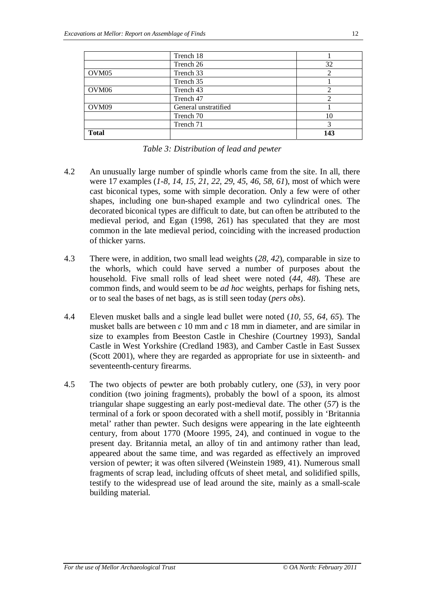|                   | Trench 18            |                |
|-------------------|----------------------|----------------|
|                   | Trench 26            | 32             |
| OVM <sub>05</sub> | Trench 33            |                |
|                   | Trench 35            |                |
| OVM <sub>06</sub> | Trench 43            | $\mathfrak{D}$ |
|                   | Trench 47            |                |
| OVM <sub>09</sub> | General unstratified |                |
|                   | Trench 70            | 10             |
|                   | Trench 71            |                |
| <b>Total</b>      |                      | 143            |

*Table 3: Distribution of lead and pewter*

- 4.2 An unusually large number of spindle whorls came from the site. In all, there were 17 examples (*1-8, 14, 15, 21, 22, 29, 45, 46, 58, 61*), most of which were cast biconical types, some with simple decoration. Only a few were of other shapes, including one bun-shaped example and two cylindrical ones. The decorated biconical types are difficult to date, but can often be attributed to the medieval period, and Egan (1998, 261) has speculated that they are most common in the late medieval period, coinciding with the increased production of thicker yarns.
- 4.3 There were, in addition, two small lead weights (*28, 42*), comparable in size to the whorls, which could have served a number of purposes about the household. Five small rolls of lead sheet were noted (*44, 48*). These are common finds, and would seem to be *ad hoc* weights, perhaps for fishing nets, or to seal the bases of net bags, as is still seen today (*pers obs*).
- 4.4 Eleven musket balls and a single lead bullet were noted (*10, 55, 64, 65*). The musket balls are between *c* 10 mm and *c* 18 mm in diameter, and are similar in size to examples from Beeston Castle in Cheshire (Courtney 1993), Sandal Castle in West Yorkshire (Credland 1983), and Camber Castle in East Sussex (Scott 2001), where they are regarded as appropriate for use in sixteenth- and seventeenth-century firearms.
- 4.5 The two objects of pewter are both probably cutlery, one (*53*), in very poor condition (two joining fragments), probably the bowl of a spoon, its almost triangular shape suggesting an early post-medieval date. The other (*57*) is the terminal of a fork or spoon decorated with a shell motif, possibly in 'Britannia metal' rather than pewter. Such designs were appearing in the late eighteenth century, from about 1770 (Moore 1995, 24), and continued in vogue to the present day. Britannia metal, an alloy of tin and antimony rather than lead, appeared about the same time, and was regarded as effectively an improved version of pewter; it was often silvered (Weinstein 1989, 41). Numerous small fragments of scrap lead, including offcuts of sheet metal, and solidified spills, testify to the widespread use of lead around the site, mainly as a small-scale building material.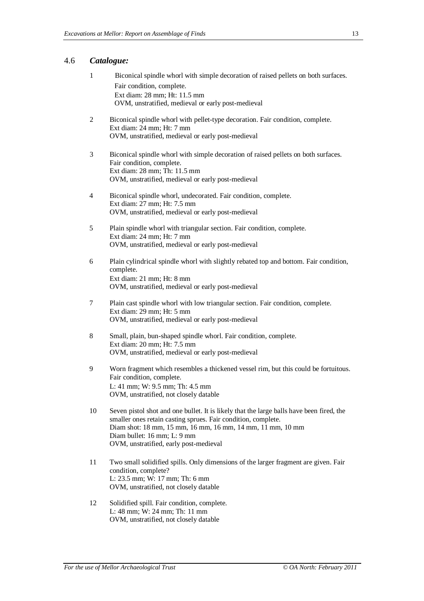#### 4.6 *Catalogue:*

| $\mathbf{1}$ | Biconical spindle whorl with simple decoration of raised pellets on both surfaces.<br>Fair condition, complete.<br>Ext diam: 28 mm; Ht: 11.5 mm<br>OVM, unstratified, medieval or early post-medieval                                                                                            |
|--------------|--------------------------------------------------------------------------------------------------------------------------------------------------------------------------------------------------------------------------------------------------------------------------------------------------|
| 2            | Biconical spindle whorl with pellet-type decoration. Fair condition, complete.<br>Ext diam: 24 mm; Ht: 7 mm<br>OVM, unstratified, medieval or early post-medieval                                                                                                                                |
| 3            | Biconical spindle whorl with simple decoration of raised pellets on both surfaces.<br>Fair condition, complete.<br>Ext diam: 28 mm; Th: 11.5 mm<br>OVM, unstratified, medieval or early post-medieval                                                                                            |
| 4            | Biconical spindle whorl, undecorated. Fair condition, complete.<br>Ext diam: 27 mm; Ht: 7.5 mm<br>OVM, unstratified, medieval or early post-medieval                                                                                                                                             |
| 5            | Plain spindle whorl with triangular section. Fair condition, complete.<br>Ext diam: 24 mm; Ht: 7 mm<br>OVM, unstratified, medieval or early post-medieval                                                                                                                                        |
| 6            | Plain cylindrical spindle whorl with slightly rebated top and bottom. Fair condition,<br>complete.<br>Ext diam: 21 mm; Ht: 8 mm<br>OVM, unstratified, medieval or early post-medieval                                                                                                            |
| 7            | Plain cast spindle whorl with low triangular section. Fair condition, complete.<br>Ext diam: 29 mm; Ht: 5 mm<br>OVM, unstratified, medieval or early post-medieval                                                                                                                               |
| 8            | Small, plain, bun-shaped spindle whorl. Fair condition, complete.<br>Ext diam: 20 mm; Ht: 7.5 mm<br>OVM, unstratified, medieval or early post-medieval                                                                                                                                           |
| 9            | Worn fragment which resembles a thickened vessel rim, but this could be fortuitous.<br>Fair condition, complete.<br>L: 41 mm; W: 9.5 mm; Th: 4.5 mm<br>OVM, unstratified, not closely datable                                                                                                    |
| 10           | Seven pistol shot and one bullet. It is likely that the large balls have been fired, the<br>smaller ones retain casting sprues. Fair condition, complete.<br>Diam shot: 18 mm, 15 mm, 16 mm, 16 mm, 14 mm, 11 mm, 10 mm<br>Diam bullet: 16 mm; L: 9 mm<br>OVM, unstratified, early post-medieval |
| 11           | Two small solidified spills. Only dimensions of the larger fragment are given. Fair<br>condition, complete?<br>L: 23.5 mm; W: 17 mm; Th: 6 mm<br>OVM, unstratified, not closely datable                                                                                                          |
| 12           | Solidified spill. Fair condition, complete.<br>L: 48 mm; W: 24 mm; Th: 11 mm<br>OVM, unstratified, not closely datable                                                                                                                                                                           |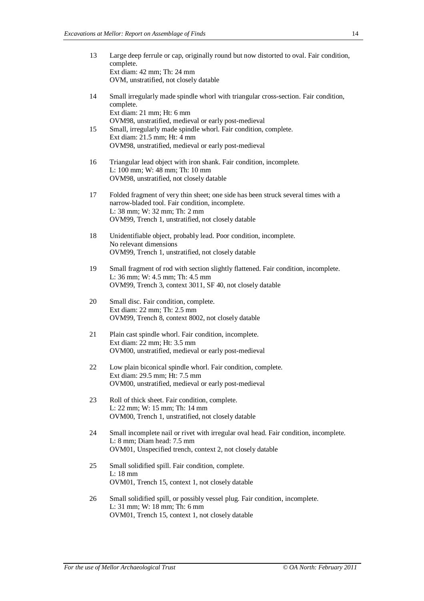| 13 | Large deep ferrule or cap, originally round but now distorted to oval. Fair condition,<br>complete.<br>Ext diam: 42 mm; Th: 24 mm<br>OVM, unstratified, not closely datable                                                                  |
|----|----------------------------------------------------------------------------------------------------------------------------------------------------------------------------------------------------------------------------------------------|
| 14 | Small irregularly made spindle whorl with triangular cross-section. Fair condition,<br>complete.                                                                                                                                             |
| 15 | Ext diam: 21 mm; Ht: 6 mm<br>OVM98, unstratified, medieval or early post-medieval<br>Small, irregularly made spindle whorl. Fair condition, complete.<br>Ext diam: 21.5 mm; Ht: 4 mm<br>OVM98, unstratified, medieval or early post-medieval |
| 16 | Triangular lead object with iron shank. Fair condition, incomplete.<br>L: 100 mm; W: 48 mm; Th: 10 mm<br>OVM98, unstratified, not closely datable                                                                                            |
| 17 | Folded fragment of very thin sheet; one side has been struck several times with a<br>narrow-bladed tool. Fair condition, incomplete.<br>L: 38 mm; W: 32 mm; Th: 2 mm                                                                         |
|    | OVM99, Trench 1, unstratified, not closely datable                                                                                                                                                                                           |
| 18 | Unidentifiable object, probably lead. Poor condition, incomplete.<br>No relevant dimensions<br>OVM99, Trench 1, unstratified, not closely datable                                                                                            |
| 19 | Small fragment of rod with section slightly flattened. Fair condition, incomplete.<br>L: 36 mm; W: 4.5 mm; Th: 4.5 mm<br>OVM99, Trench 3, context 3011, SF 40, not closely datable                                                           |
| 20 | Small disc. Fair condition, complete.<br>Ext diam: 22 mm; Th: 2.5 mm<br>OVM99, Trench 8, context 8002, not closely datable                                                                                                                   |
| 21 | Plain cast spindle whorl. Fair condition, incomplete.<br>Ext diam: 22 mm; Ht: 3.5 mm<br>OVM00, unstratified, medieval or early post-medieval                                                                                                 |
| 22 | Low plain biconical spindle whorl. Fair condition, complete.<br>Ext diam: 29.5 mm; Ht: 7.5 mm<br>OVM00, unstratified, medieval or early post-medieval                                                                                        |
| 23 | Roll of thick sheet. Fair condition, complete.<br>L: 22 mm; W: 15 mm; Th: 14 mm<br>OVM00, Trench 1, unstratified, not closely datable                                                                                                        |
| 24 | Small incomplete nail or rivet with irregular oval head. Fair condition, incomplete.<br>L: 8 mm; Diam head: 7.5 mm<br>OVM01, Unspecified trench, context 2, not closely datable                                                              |
| 25 | Small solidified spill. Fair condition, complete.<br>L: 18 mm<br>OVM01, Trench 15, context 1, not closely datable                                                                                                                            |
| 26 | Small solidified spill, or possibly vessel plug. Fair condition, incomplete.<br>L: 31 mm; W: 18 mm; Th: 6 mm                                                                                                                                 |

OVM01, Trench 15, context 1, not closely datable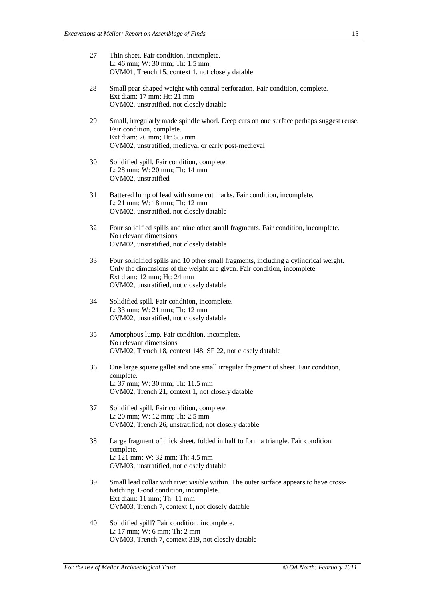- 27 Thin sheet. Fair condition, incomplete. L: 46 mm; W: 30 mm; Th: 1.5 mm OVM01, Trench 15, context 1, not closely datable
- 28 Small pear-shaped weight with central perforation. Fair condition, complete. Ext diam: 17 mm; Ht: 21 mm OVM02, unstratified, not closely datable
- 29 Small, irregularly made spindle whorl. Deep cuts on one surface perhaps suggest reuse. Fair condition, complete. Ext diam: 26 mm; Ht: 5.5 mm OVM02, unstratified, medieval or early post-medieval
- 30 Solidified spill. Fair condition, complete. L: 28 mm; W: 20 mm; Th: 14 mm OVM02, unstratified
- 31 Battered lump of lead with some cut marks. Fair condition, incomplete. L: 21 mm; W: 18 mm; Th: 12 mm OVM02, unstratified, not closely datable
- 32 Four solidified spills and nine other small fragments. Fair condition, incomplete. No relevant dimensions OVM02, unstratified, not closely datable
- 33 Four solidified spills and 10 other small fragments, including a cylindrical weight. Only the dimensions of the weight are given. Fair condition, incomplete. Ext diam: 12 mm; Ht: 24 mm OVM02, unstratified, not closely datable
- 34 Solidified spill. Fair condition, incomplete. L: 33 mm; W: 21 mm; Th: 12 mm OVM02, unstratified, not closely datable
- 35 Amorphous lump. Fair condition, incomplete. No relevant dimensions OVM02, Trench 18, context 148, SF 22, not closely datable
- 36 One large square gallet and one small irregular fragment of sheet. Fair condition, complete. L: 37 mm; W: 30 mm; Th: 11.5 mm OVM02, Trench 21, context 1, not closely datable
- 37 Solidified spill. Fair condition, complete. L: 20 mm; W: 12 mm; Th: 2.5 mm OVM02, Trench 26, unstratified, not closely datable
- 38 Large fragment of thick sheet, folded in half to form a triangle. Fair condition, complete. L: 121 mm; W: 32 mm; Th: 4.5 mm OVM03, unstratified, not closely datable
- 39 Small lead collar with rivet visible within. The outer surface appears to have crosshatching. Good condition, incomplete. Ext diam: 11 mm; Th: 11 mm OVM03, Trench 7, context 1, not closely datable
- 40 Solidified spill? Fair condition, incomplete. L: 17 mm; W: 6 mm; Th: 2 mm OVM03, Trench 7, context 319, not closely datable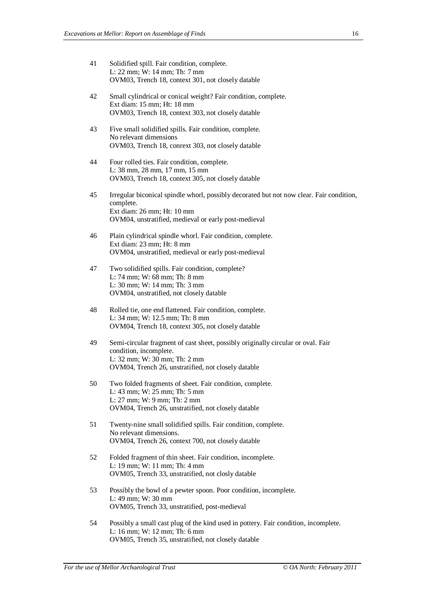| 41 | Solidified spill. Fair condition, complete.<br>L: 22 mm; W: 14 mm; Th: 7 mm<br>OVM03, Trench 18, context 301, not closely datable                                                                 |  |  |
|----|---------------------------------------------------------------------------------------------------------------------------------------------------------------------------------------------------|--|--|
| 42 | Small cylindrical or conical weight? Fair condition, complete.<br>Ext diam: 15 mm; Ht: 18 mm<br>OVM03, Trench 18, context 303, not closely datable                                                |  |  |
| 43 | Five small solidified spills. Fair condition, complete.<br>No relevant dimensions<br>OVM03, Trench 18, conrext 303, not closely datable                                                           |  |  |
| 44 | Four rolled ties. Fair condition, complete.<br>L: 38 mm, 28 mm, 17 mm, 15 mm<br>OVM03, Trench 18, context 305, not closely datable                                                                |  |  |
| 45 | Irregular biconical spindle whorl, possibly decorated but not now clear. Fair condition,<br>complete.<br>Ext diam: 26 mm; Ht: 10 mm<br>OVM04, unstratified, medieval or early post-medieval       |  |  |
| 46 | Plain cylindrical spindle whorl. Fair condition, complete.<br>Ext diam: 23 mm; Ht: 8 mm<br>OVM04, unstratified, medieval or early post-medieval                                                   |  |  |
| 47 | Two solidified spills. Fair condition, complete?<br>L: 74 mm; W: 68 mm; Th: 8 mm<br>L: 30 mm; W: 14 mm; Th: 3 mm<br>OVM04, unstratified, not closely datable                                      |  |  |
| 48 | Rolled tie, one end flattened. Fair condition, complete.<br>L: 34 mm; W: 12.5 mm; Th: 8 mm<br>OVM04, Trench 18, context 305, not closely datable                                                  |  |  |
| 49 | Semi-circular fragment of cast sheet, possibly originally circular or oval. Fair<br>condition, incomplete.<br>L: 32 mm; W: 30 mm; Th: 2 mm<br>OVM04, Trench 26, unstratified, not closely datable |  |  |
| 50 | Two folded fragments of sheet. Fair condition, complete.<br>L: 43 mm; W: 25 mm; Th: 5 mm<br>L: 27 mm; W: 9 mm; Th: 2 mm<br>OVM04, Trench 26, unstratified, not closely datable                    |  |  |
| 51 | Twenty-nine small solidified spills. Fair condition, complete.<br>No relevant dimensions.<br>OVM04, Trench 26, context 700, not closely datable                                                   |  |  |
| 52 | Folded fragment of thin sheet. Fair condition, incomplete.<br>L: 19 mm; W: 11 mm; Th: 4 mm<br>OVM05, Trench 33, unstratified, not closly datable                                                  |  |  |
| 53 | Possibly the bowl of a pewter spoon. Poor condition, incomplete.<br>L: 49 mm; W: 30 mm<br>OVM05, Trench 33, unstratified, post-medieval                                                           |  |  |
| 54 | Possibly a small cast plug of the kind used in pottery. Fair condition, incomplete.<br>L: 16 mm; W: 12 mm; Th: 6 mm                                                                               |  |  |

OVM05, Trench 35, unstratified, not closely datable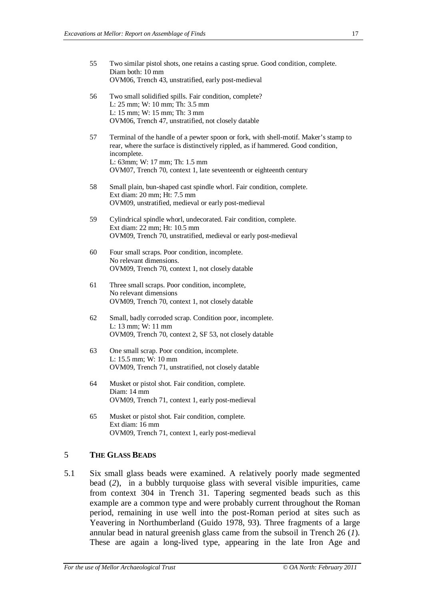|     | 55                                                                                                                                                                                                                                                                                                                                                                                                                                                                                                                                                       | Two similar pistol shots, one retains a casting sprue. Good condition, complete.<br>Diam both: 10 mm<br>OVM06, Trench 43, unstratified, early post-medieval                                                                                                                                      |  |  |  |
|-----|----------------------------------------------------------------------------------------------------------------------------------------------------------------------------------------------------------------------------------------------------------------------------------------------------------------------------------------------------------------------------------------------------------------------------------------------------------------------------------------------------------------------------------------------------------|--------------------------------------------------------------------------------------------------------------------------------------------------------------------------------------------------------------------------------------------------------------------------------------------------|--|--|--|
|     | 56                                                                                                                                                                                                                                                                                                                                                                                                                                                                                                                                                       | Two small solidified spills. Fair condition, complete?<br>L: 25 mm; W: 10 mm; Th: 3.5 mm<br>L: 15 mm; W: 15 mm; Th: 3 mm<br>OVM06, Trench 47, unstratified, not closely datable                                                                                                                  |  |  |  |
|     | 57                                                                                                                                                                                                                                                                                                                                                                                                                                                                                                                                                       | Terminal of the handle of a pewter spoon or fork, with shell-motif. Maker's stamp to<br>rear, where the surface is distinctively rippled, as if hammered. Good condition,<br>incomplete.<br>L: 63mm; W: 17 mm; Th: 1.5 mm<br>OVM07, Trench 70, context 1, late seventeenth or eighteenth century |  |  |  |
|     | 58                                                                                                                                                                                                                                                                                                                                                                                                                                                                                                                                                       | Small plain, bun-shaped cast spindle whorl. Fair condition, complete.<br>Ext diam: 20 mm; Ht: 7.5 mm<br>OVM09, unstratified, medieval or early post-medieval                                                                                                                                     |  |  |  |
|     | 59                                                                                                                                                                                                                                                                                                                                                                                                                                                                                                                                                       | Cylindrical spindle whorl, undecorated. Fair condition, complete.<br>Ext diam: 22 mm; Ht: 10.5 mm<br>OVM09, Trench 70, unstratified, medieval or early post-medieval                                                                                                                             |  |  |  |
|     | 60                                                                                                                                                                                                                                                                                                                                                                                                                                                                                                                                                       | Four small scraps. Poor condition, incomplete.<br>No relevant dimensions.<br>OVM09, Trench 70, context 1, not closely datable                                                                                                                                                                    |  |  |  |
|     | 61                                                                                                                                                                                                                                                                                                                                                                                                                                                                                                                                                       | Three small scraps. Poor condition, incomplete,<br>No relevant dimensions<br>OVM09, Trench 70, context 1, not closely datable                                                                                                                                                                    |  |  |  |
|     | 62                                                                                                                                                                                                                                                                                                                                                                                                                                                                                                                                                       | Small, badly corroded scrap. Condition poor, incomplete.<br>L: 13 mm; W: 11 mm<br>OVM09, Trench 70, context 2, SF 53, not closely datable                                                                                                                                                        |  |  |  |
|     | 63                                                                                                                                                                                                                                                                                                                                                                                                                                                                                                                                                       | One small scrap. Poor condition, incomplete.<br>L: 15.5 mm; W: 10 mm<br>OVM09, Trench 71, unstratified, not closely datable                                                                                                                                                                      |  |  |  |
|     | 64                                                                                                                                                                                                                                                                                                                                                                                                                                                                                                                                                       | Musket or pistol shot. Fair condition, complete.<br>Diam: 14 mm<br>OVM09, Trench 71, context 1, early post-medieval                                                                                                                                                                              |  |  |  |
|     | 65                                                                                                                                                                                                                                                                                                                                                                                                                                                                                                                                                       | Musket or pistol shot. Fair condition, complete.<br>Ext diam: 16 mm<br>OVM09, Trench 71, context 1, early post-medieval                                                                                                                                                                          |  |  |  |
| 5   | <b>THE GLASS BEADS</b>                                                                                                                                                                                                                                                                                                                                                                                                                                                                                                                                   |                                                                                                                                                                                                                                                                                                  |  |  |  |
| 5.1 | Six small glass beads were examined. A relatively poorly made segmented<br>bead (2), in a bubbly turquoise glass with several visible impurities, came<br>from context 304 in Trench 31. Tapering segmented beads such as this<br>example are a common type and were probably current throughout the Roman<br>period, remaining in use well into the post-Roman period at sites such as<br>Yeavering in Northumberland (Guido 1978, 93). Three fragments of a large<br>annular bead in natural greenish glass came from the subsoil in Trench $26 (1)$ . |                                                                                                                                                                                                                                                                                                  |  |  |  |

These are again a long-lived type, appearing in the late Iron Age and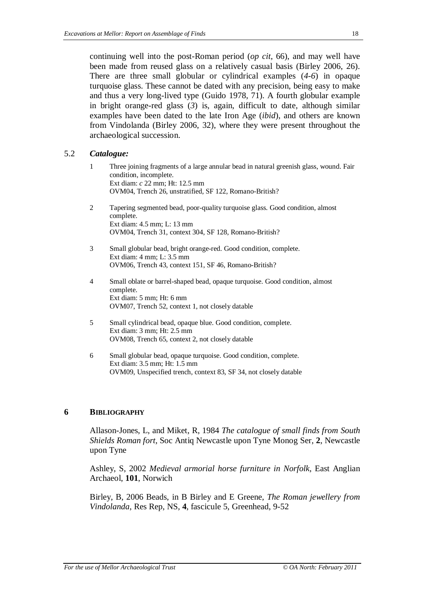continuing well into the post-Roman period (*op cit*, 66), and may well have been made from reused glass on a relatively casual basis (Birley 2006, 26). There are three small globular or cylindrical examples (*4-6*) in opaque turquoise glass. These cannot be dated with any precision, being easy to make and thus a very long-lived type (Guido 1978, 71). A fourth globular example in bright orange-red glass (*3*) is, again, difficult to date, although similar examples have been dated to the late Iron Age (*ibid*), and others are known from Vindolanda (Birley 2006, 32), where they were present throughout the archaeological succession.

#### 5.2 *Catalogue:*

- 1 Three joining fragments of a large annular bead in natural greenish glass, wound. Fair condition, incomplete. Ext diam: *c* 22 mm; Ht: 12.5 mm OVM04, Trench 26, unstratified, SF 122, Romano-British?
- 2 Tapering segmented bead, poor-quality turquoise glass. Good condition, almost complete. Ext diam: 4.5 mm; L: 13 mm OVM04, Trench 31, context 304, SF 128, Romano-British?
- 3 Small globular bead, bright orange-red. Good condition, complete. Ext diam: 4 mm; L: 3.5 mm OVM06, Trench 43, context 151, SF 46, Romano-British?
- 4 Small oblate or barrel-shaped bead, opaque turquoise. Good condition, almost complete. Ext diam: 5 mm; Ht: 6 mm OVM07, Trench 52, context 1, not closely datable
- 5 Small cylindrical bead, opaque blue. Good condition, complete. Ext diam: 3 mm; Ht: 2.5 mm OVM08, Trench 65, context 2, not closely datable
- 6 Small globular bead, opaque turquoise. Good condition, complete. Ext diam: 3.5 mm; Ht: 1.5 mm OVM09, Unspecified trench, context 83, SF 34, not closely datable

#### **6 BIBLIOGRAPHY**

Allason-Jones, L, and Miket, R, 1984 *The catalogue of small finds from South Shields Roman fort*, Soc Antiq Newcastle upon Tyne Monog Ser, **2**, Newcastle upon Tyne

Ashley, S, 2002 *Medieval armorial horse furniture in Norfolk*, East Anglian Archaeol, **101**, Norwich

Birley, B, 2006 Beads, in B Birley and E Greene, *The Roman jewellery from Vindolanda*, Res Rep, NS, **4**, fascicule 5, Greenhead, 9-52